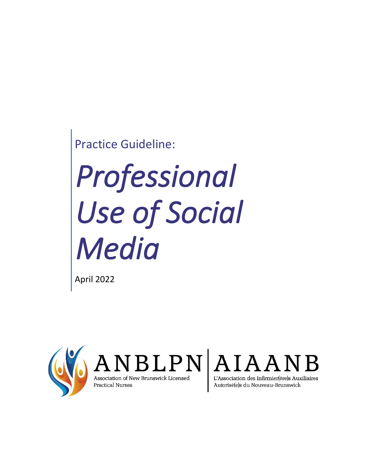Practice Guideline:

# *Professional Use of Social Media*

April 2022





**Practical Nurses** 

Autorisé(e)s du Nouveau-Brunswick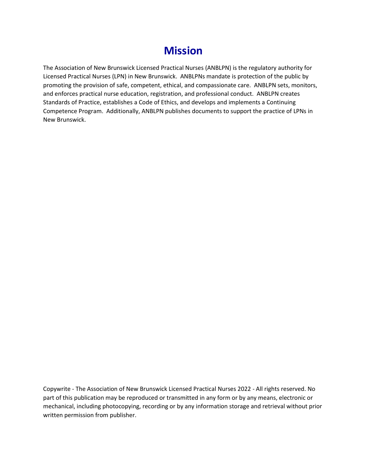## **Mission**

The Association of New Brunswick Licensed Practical Nurses (ANBLPN) is the regulatory authority for Licensed Practical Nurses (LPN) in New Brunswick. ANBLPNs mandate is protection of the public by promoting the provision of safe, competent, ethical, and compassionate care. ANBLPN sets, monitors, and enforces practical nurse education, registration, and professional conduct. ANBLPN creates Standards of Practice, establishes a Code of Ethics, and develops and implements a Continuing Competence Program. Additionally, ANBLPN publishes documents to support the practice of LPNs in New Brunswick.

Copywrite - The Association of New Brunswick Licensed Practical Nurses 2022 - All rights reserved. No part of this publication may be reproduced or transmitted in any form or by any means, electronic or mechanical, including photocopying, recording or by any information storage and retrieval without prior written permission from publisher.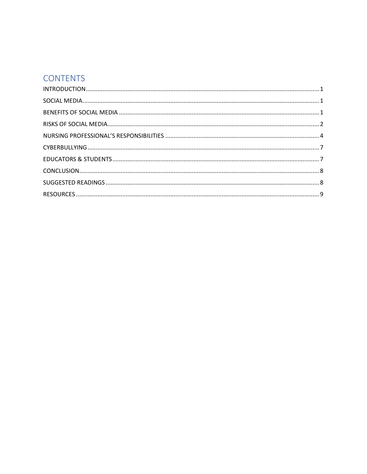## **CONTENTS**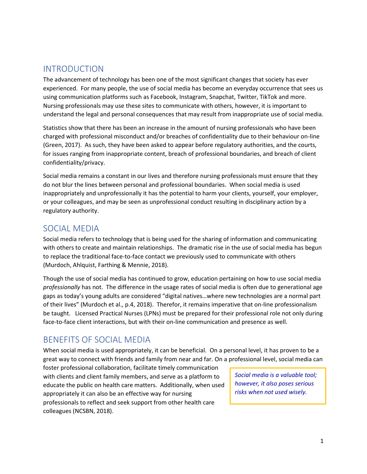## <span id="page-3-0"></span>INTRODUCTION

The advancement of technology has been one of the most significant changes that society has ever experienced. For many people, the use of social media has become an everyday occurrence that sees us using communication platforms such as Facebook, Instagram, Snapchat, Twitter, TikTok and more. Nursing professionals may use these sites to communicate with others, however, it is important to understand the legal and personal consequences that may result from inappropriate use of social media.

Statistics show that there has been an increase in the amount of nursing professionals who have been charged with professional misconduct and/or breaches of confidentiality due to their behaviour on-line (Green, 2017). As such, they have been asked to appear before regulatory authorities, and the courts, for issues ranging from inappropriate content, breach of professional boundaries, and breach of client confidentiality/privacy.

Social media remains a constant in our lives and therefore nursing professionals must ensure that they do not blur the lines between personal and professional boundaries. When social media is used inappropriately and unprofessionally it has the potential to harm your clients, yourself, your employer, or your colleagues, and may be seen as unprofessional conduct resulting in disciplinary action by a regulatory authority.

## <span id="page-3-1"></span>SOCIAL MEDIA

Social media refers to technology that is being used for the sharing of information and communicating with others to create and maintain relationships. The dramatic rise in the use of social media has begun to replace the traditional face-to-face contact we previously used to communicate with others (Murdoch, Ahlquist, Farthing & Mennie, 2018).

Though the use of social media has continued to grow, education pertaining on how to use social media *professionally* has not. The difference in the usage rates of social media is often due to generational age gaps as today's young adults are considered "digital natives…where new technologies are a normal part of their lives" (Murdoch et al., p.4, 2018). Therefor, it remains imperative that on-line professionalism be taught. Licensed Practical Nurses (LPNs) must be prepared for their professional role not only during face-to-face client interactions, but with their on-line communication and presence as well.

## <span id="page-3-2"></span>BENEFITS OF SOCIAL MEDIA

When social media is used appropriately, it can be beneficial. On a personal level, it has proven to be a great way to connect with friends and family from near and far. On a professional level, social media can

foster professional collaboration, facilitate timely communication with clients and client family members, and serve as a platform to educate the public on health care matters. Additionally, when used appropriately it can also be an effective way for nursing professionals to reflect and seek support from other health care colleagues (NCSBN, 2018).

*Social media is a valuable tool; however, it also poses serious risks when not used wisely.*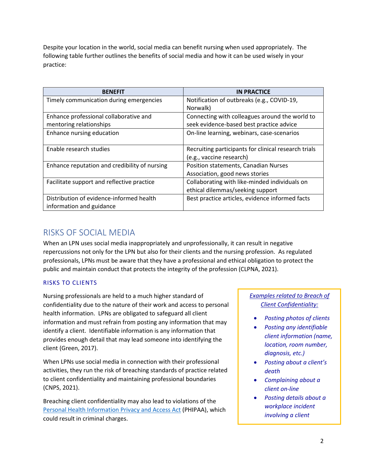Despite your location in the world, social media can benefit nursing when used appropriately. The following table further outlines the benefits of social media and how it can be used wisely in your practice:

| <b>BENEFIT</b>                                | <b>IN PRACTICE</b>                                   |
|-----------------------------------------------|------------------------------------------------------|
| Timely communication during emergencies       | Notification of outbreaks (e.g., COVID-19,           |
|                                               | Norwalk)                                             |
| Enhance professional collaborative and        | Connecting with colleagues around the world to       |
| mentoring relationships                       | seek evidence-based best practice advice             |
| Enhance nursing education                     | On-line learning, webinars, case-scenarios           |
|                                               |                                                      |
| Enable research studies                       | Recruiting participants for clinical research trials |
|                                               | (e.g., vaccine research)                             |
| Enhance reputation and credibility of nursing | Position statements, Canadian Nurses                 |
|                                               | Association, good news stories                       |
| Facilitate support and reflective practice    | Collaborating with like-minded individuals on        |
|                                               | ethical dilemmas/seeking support                     |
| Distribution of evidence-informed health      | Best practice articles, evidence informed facts      |
| information and guidance                      |                                                      |

## <span id="page-4-0"></span>RISKS OF SOCIAL MEDIA

When an LPN uses social media inappropriately and unprofessionally, it can result in negative repercussions not only for the LPN but also for their clients and the nursing profession. As regulated professionals, LPNs must be aware that they have a professional and ethical obligation to protect the public and maintain conduct that protects the integrity of the profession (CLPNA, 2021).

#### RISKS TO CLIENTS

Nursing professionals are held to a much higher standard of confidentiality due to the nature of their work and access to personal health information. LPNs are obligated to safeguard all client information and must refrain from posting any information that may identify a client. Identifiable information is any information that provides enough detail that may lead someone into identifying the client (Green, 2017).

When LPNs use social media in connection with their professional activities, they run the risk of breaching standards of practice related to client confidentiality and maintaining professional boundaries (CNPS, 2021).

Breaching client confidentiality may also lead to violations of the [Personal Health Information Privacy and Access Act](https://laws.gnb.ca/en/ShowTdm/cs/P-7.05/) (PHIPAA), which could result in criminal charges.

#### *Examples related to Breach of Client Confidentiality:*

- *Posting photos of clients*
- *Posting any identifiable client information (name, location, room number, diagnosis, etc.)*
- *Posting about a client's death*
- *Complaining about a client on-line*
- *Posting details about a workplace incident involving a client*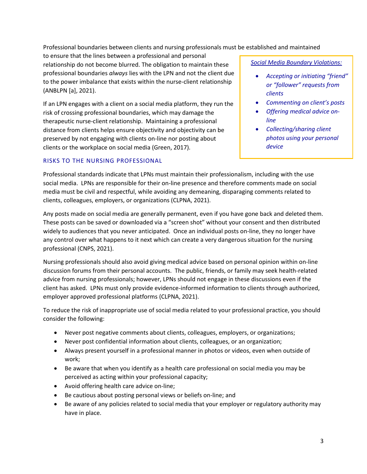Professional boundaries between clients and nursing professionals must be established and maintained

to ensure that the lines between a professional and personal relationship do not become blurred. The obligation to maintain these professional boundaries *always* lies with the LPN and not the client due to the power imbalance that exists within the nurse-client relationship (ANBLPN [a], 2021).

If an LPN engages with a client on a social media platform, they run the risk of crossing professional boundaries, which may damage the therapeutic nurse-client relationship. Maintaining a professional distance from clients helps ensure objectivity and objectivity can be preserved by not engaging with clients on-line nor posting about clients or the workplace on social media (Green, 2017).

#### RISKS TO THE NURSING PROFESSIONAL

*Social Media Boundary Violations:*

- *Accepting or initiating "friend" or "follower" requests from clients*
- *Commenting on client's posts*
- *Offering medical advice online*
- *Collecting/sharing client photos using your personal device*

Professional standards indicate that LPNs must maintain their professionalism, including with the use social media. LPNs are responsible for their on-line presence and therefore comments made on social media must be civil and respectful, while avoiding any demeaning, disparaging comments related to clients, colleagues, employers, or organizations (CLPNA, 2021).

Any posts made on social media are generally permanent, even if you have gone back and deleted them. These posts can be saved or downloaded via a "screen shot" without your consent and then distributed widely to audiences that you never anticipated. Once an individual posts on-line, they no longer have any control over what happens to it next which can create a very dangerous situation for the nursing professional (CNPS, 2021).

Nursing professionals should also avoid giving medical advice based on personal opinion within on-line discussion forums from their personal accounts. The public, friends, or family may seek health-related advice from nursing professionals; however, LPNs should not engage in these discussions even if the client has asked. LPNs must only provide evidence-informed information to clients through authorized, employer approved professional platforms (CLPNA, 2021).

To reduce the risk of inappropriate use of social media related to your professional practice, you should consider the following:

- Never post negative comments about clients, colleagues, employers, or organizations;
- Never post confidential information about clients, colleagues, or an organization;
- Always present yourself in a professional manner in photos or videos, even when outside of work;
- Be aware that when you identify as a health care professional on social media you may be perceived as acting within your professional capacity;
- Avoid offering health care advice on-line;
- Be cautious about posting personal views or beliefs on-line; and
- Be aware of any policies related to social media that your employer or regulatory authority may have in place.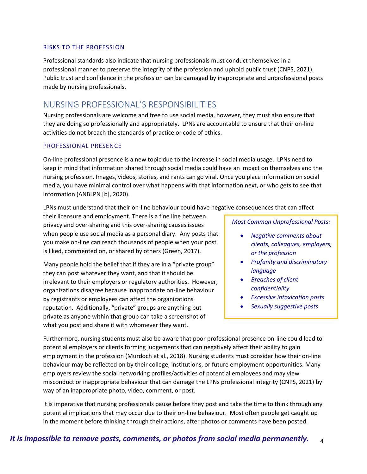#### RISKS TO THE PROFESSION

Professional standards also indicate that nursing professionals must conduct themselves in a professional manner to preserve the integrity of the profession and uphold public trust (CNPS, 2021). Public trust and confidence in the profession can be damaged by inappropriate and unprofessional posts made by nursing professionals.

### <span id="page-6-0"></span>NURSING PROFESSIONAL'S RESPONSIBILITIES

Nursing professionals are welcome and free to use social media, however, they must also ensure that they are doing so professionally and appropriately. LPNs are accountable to ensure that their on-line activities do not breach the standards of practice or code of ethics.

#### PROFESSIONAL PRESENCE

On-line professional presence is a new topic due to the increase in social media usage. LPNs need to keep in mind that information shared through social media could have an impact on themselves and the nursing profession. Images, videos, stories, and rants can go viral. Once you place information on social media, you have minimal control over what happens with that information next, or who gets to see that information (ANBLPN [b], 2020).

LPNs must understand that their on-line behaviour could have negative consequences that can affect

their licensure and employment. There is a fine line between privacy and over-sharing and this over-sharing causes issues when people use social media as a personal diary. Any posts that you make on-line can reach thousands of people when your post is liked, commented on, or shared by others (Green, 2017).

Many people hold the belief that if they are in a "private group" they can post whatever they want, and that it should be irrelevant to their employers or regulatory authorities. However, organizations disagree because inappropriate on-line behaviour by registrants or employees can affect the organizations reputation. Additionally, "private" groups are anything but private as anyone within that group can take a screenshot of what you post and share it with whomever they want.

*Most Common Unprofessional Posts:*

- *Negative comments about clients, colleagues, employers, or the profession*
- *Profanity and discriminatory language*
- *Breaches of client confidentiality*
- *Excessive intoxication posts*
- *Sexually suggestive posts*

Furthermore, nursing students must also be aware that poor professional presence on-line could lead to potential employers or clients forming judgements that can negatively affect their ability to gain employment in the profession (Murdoch et al., 2018). Nursing students must consider how their on-line behaviour may be reflected on by their college, institutions, or future employment opportunities. Many employers review the social networking profiles/activities of potential employees and may view misconduct or inappropriate behaviour that can damage the LPNs professional integrity (CNPS, 2021) by way of an inappropriate photo, video, comment, or post.

It is imperative that nursing professionals pause before they post and take the time to think through any potential implications that may occur due to their on-line behaviour. Most often people get caught up in the moment before thinking through their actions, after photos or comments have been posted.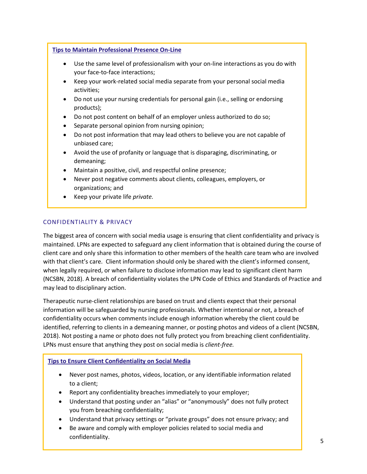#### **Tips to Maintain Professional Presence On-Line**

- Use the same level of professionalism with your on-line interactions as you do with your face-to-face interactions;
- Keep your work-related social media separate from your personal social media activities;
- Do not use your nursing credentials for personal gain (i.e., selling or endorsing products);
- Do not post content on behalf of an employer unless authorized to do so;
- Separate personal opinion from nursing opinion;
- Do not post information that may lead others to believe you are not capable of unbiased care;
- Avoid the use of profanity or language that is disparaging, discriminating, or demeaning;
- Maintain a positive, civil, and respectful online presence;
- Never post negative comments about clients, colleagues, employers, or organizations; and
- Keep your private life *private.*

#### CONFIDENTIALITY & PRIVACY

The biggest area of concern with social media usage is ensuring that client confidentiality and privacy is maintained. LPNs are expected to safeguard any client information that is obtained during the course of client care and only share this information to other members of the health care team who are involved with that client's care. Client information should only be shared with the client's informed consent, when legally required, or when failure to disclose information may lead to significant client harm (NCSBN, 2018). A breach of confidentiality violates the LPN Code of Ethics and Standards of Practice and may lead to disciplinary action.

Therapeutic nurse-client relationships are based on trust and clients expect that their personal information will be safeguarded by nursing professionals. Whether intentional or not, a breach of confidentiality occurs when comments include enough information whereby the client could be identified, referring to clients in a demeaning manner, or posting photos and videos of a client (NCSBN, 2018). Not posting a name or photo does not fully protect you from breaching client confidentiality. LPNs must ensure that anything they post on social media is *client-free.*

#### **Tips to Ensure Client Confidentiality on Social Media**

- Never post names, photos, videos, location, or any identifiable information related to a client;
- Report any confidentiality breaches immediately to your employer;
- Understand that posting under an "alias" or "anonymously" does not fully protect you from breaching confidentiality;
- Understand that privacy settings or "private groups" does not ensure privacy; and
- Be aware and comply with employer policies related to social media and confidentiality.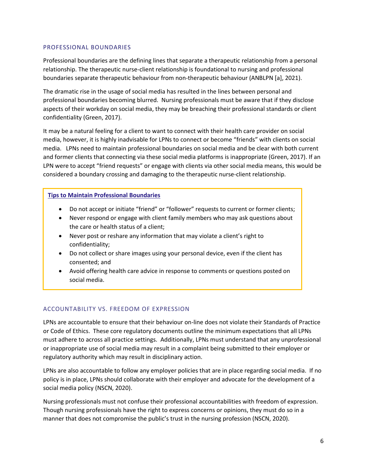#### PROFESSIONAL BOUNDARIES

Professional boundaries are the defining lines that separate a therapeutic relationship from a personal relationship. The therapeutic nurse-client relationship is foundational to nursing and professional boundaries separate therapeutic behaviour from non-therapeutic behaviour (ANBLPN [a], 2021).

The dramatic rise in the usage of social media has resulted in the lines between personal and professional boundaries becoming blurred. Nursing professionals must be aware that if they disclose aspects of their workday on social media, they may be breaching their professional standards or client confidentiality (Green, 2017).

It may be a natural feeling for a client to want to connect with their health care provider on social media, however, it is highly inadvisable for LPNs to connect or become "friends" with clients on social media. LPNs need to maintain professional boundaries on social media and be clear with both current and former clients that connecting via these social media platforms is inappropriate (Green, 2017). If an LPN were to accept "friend requests" or engage with clients via other social media means, this would be considered a boundary crossing and damaging to the therapeutic nurse-client relationship.

#### **Tips to Maintain Professional Boundaries**

- Do not accept or initiate "friend" or "follower" requests to current or former clients;
- Never respond or engage with client family members who may ask questions about the care or health status of a client;
- Never post or reshare any information that may violate a client's right to confidentiality;
- Do not collect or share images using your personal device, even if the client has consented; and
- Avoid offering health care advice in response to comments or questions posted on social media.

#### ACCOUNTABILITY VS. FREEDOM OF EXPRESSION

LPNs are accountable to ensure that their behaviour on-line does not violate their Standards of Practice or Code of Ethics. These core regulatory documents outline the minimum expectations that all LPNs must adhere to across all practice settings. Additionally, LPNs must understand that any unprofessional or inappropriate use of social media may result in a complaint being submitted to their employer or regulatory authority which may result in disciplinary action.

LPNs are also accountable to follow any employer policies that are in place regarding social media. If no policy is in place, LPNs should collaborate with their employer and advocate for the development of a social media policy (NSCN, 2020).

Nursing professionals must not confuse their professional accountabilities with freedom of expression. Though nursing professionals have the right to express concerns or opinions, they must do so in a manner that does not compromise the public's trust in the nursing profession (NSCN, 2020).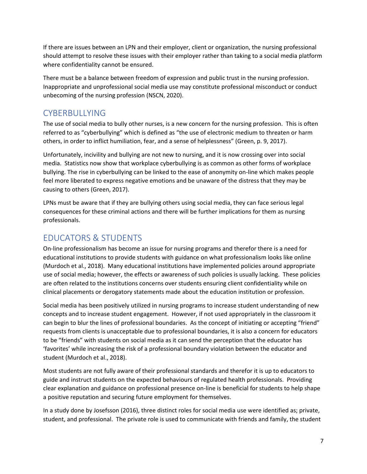If there are issues between an LPN and their employer, client or organization, the nursing professional should attempt to resolve these issues with their employer rather than taking to a social media platform where confidentiality cannot be ensured.

There must be a balance between freedom of expression and public trust in the nursing profession. Inappropriate and unprofessional social media use may constitute professional misconduct or conduct unbecoming of the nursing profession (NSCN, 2020).

## <span id="page-9-0"></span>CYBERBULLYING

The use of social media to bully other nurses, is a new concern for the nursing profession. This is often referred to as "cyberbullying" which is defined as "the use of electronic medium to threaten or harm others, in order to inflict humiliation, fear, and a sense of helplessness" (Green, p. 9, 2017).

Unfortunately, incivility and bullying are not new to nursing, and it is now crossing over into social media. Statistics now show that workplace cyberbullying is as common as other forms of workplace bullying. The rise in cyberbullying can be linked to the ease of anonymity on-line which makes people feel more liberated to express negative emotions and be unaware of the distress that they may be causing to others (Green, 2017).

LPNs must be aware that if they are bullying others using social media, they can face serious legal consequences for these criminal actions and there will be further implications for them as nursing professionals.

## <span id="page-9-1"></span>EDUCATORS & STUDENTS

On-line professionalism has become an issue for nursing programs and therefor there is a need for educational institutions to provide students with guidance on what professionalism looks like online (Murdoch et al., 2018). Many educational institutions have implemented policies around appropriate use of social media; however, the effects or awareness of such policies is usually lacking. These policies are often related to the institutions concerns over students ensuring client confidentiality while on clinical placements or derogatory statements made about the education institution or profession.

Social media has been positively utilized in nursing programs to increase student understanding of new concepts and to increase student engagement. However, if not used appropriately in the classroom it can begin to blur the lines of professional boundaries. As the concept of initiating or accepting "friend" requests from clients is unacceptable due to professional boundaries, it is also a concern for educators to be "friends" with students on social media as it can send the perception that the educator has 'favorites' while increasing the risk of a professional boundary violation between the educator and student (Murdoch et al., 2018).

Most students are not fully aware of their professional standards and therefor it is up to educators to guide and instruct students on the expected behaviours of regulated health professionals. Providing clear explanation and guidance on professional presence on-line is beneficial for students to help shape a positive reputation and securing future employment for themselves.

In a study done by Josefsson (2016), three distinct roles for social media use were identified as; private, student, and professional. The private role is used to communicate with friends and family, the student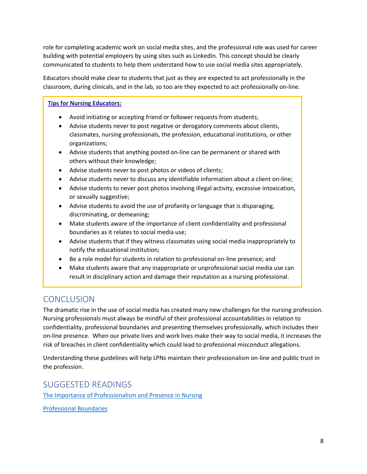role for completing academic work on social media sites, and the professional role was used for career building with potential employers by using sites such as LinkedIn. This concept should be clearly communicated to students to help them understand how to use social media sites appropriately.

Educators should make clear to students that just as they are expected to act professionally in the classroom, during clinicals, and in the lab, so too are they expected to act professionally on-line.

#### **Tips for Nursing Educators:**

- Avoid initiating or accepting friend or follower requests from students;
- Advise students never to post negative or derogatory comments about clients, classmates, nursing professionals, the profession, educational institutions, or other organizations;
- Advise students that anything posted on-line can be permanent or shared with others without their knowledge;
- Advise students never to post photos or videos of clients;
- Advise students never to discuss any identifiable information about a client on-line;
- Advise students to never post photos involving illegal activity, excessive intoxication, or sexually suggestive;
- Advise students to avoid the use of profanity or language that is disparaging, discriminating, or demeaning;
- Make students aware of the importance of client confidentiality and professional boundaries as it relates to social media use;
- Advise students that if they witness classmates using social media inappropriately to notify the educational institution;
- Be a role model for students in relation to professional on-line presence; and
- Make students aware that any inappropriate or unprofessional social media use can result in disciplinary action and damage their reputation as a nursing professional.

## <span id="page-10-0"></span>**CONCLUSION**

The dramatic rise in the use of social media has created many new challenges for the nursing profession. Nursing professionals must always be mindful of their professional accountabilities in relation to confidentiality, professional boundaries and presenting themselves professionally, which includes their on-line presence. When our private lives and work lives make their way to social media, it increases the risk of breaches in client confidentiality which could lead to professional misconduct allegations.

Understanding these guidelines will help LPNs maintain their professionalism on-line and public trust in the profession.

<span id="page-10-1"></span>SUGGESTED READINGS

[The Importance of Professionalism and Presence in Nursing](https://www.anblpn.ca/wp-content/uploads/2022/01/Professionalism-and-Presence-in-Nursing.pdf)

[Professional Boundaries](https://www.anblpn.ca/wp-content/uploads/2021/07/Professional-Boundaries.pdf)